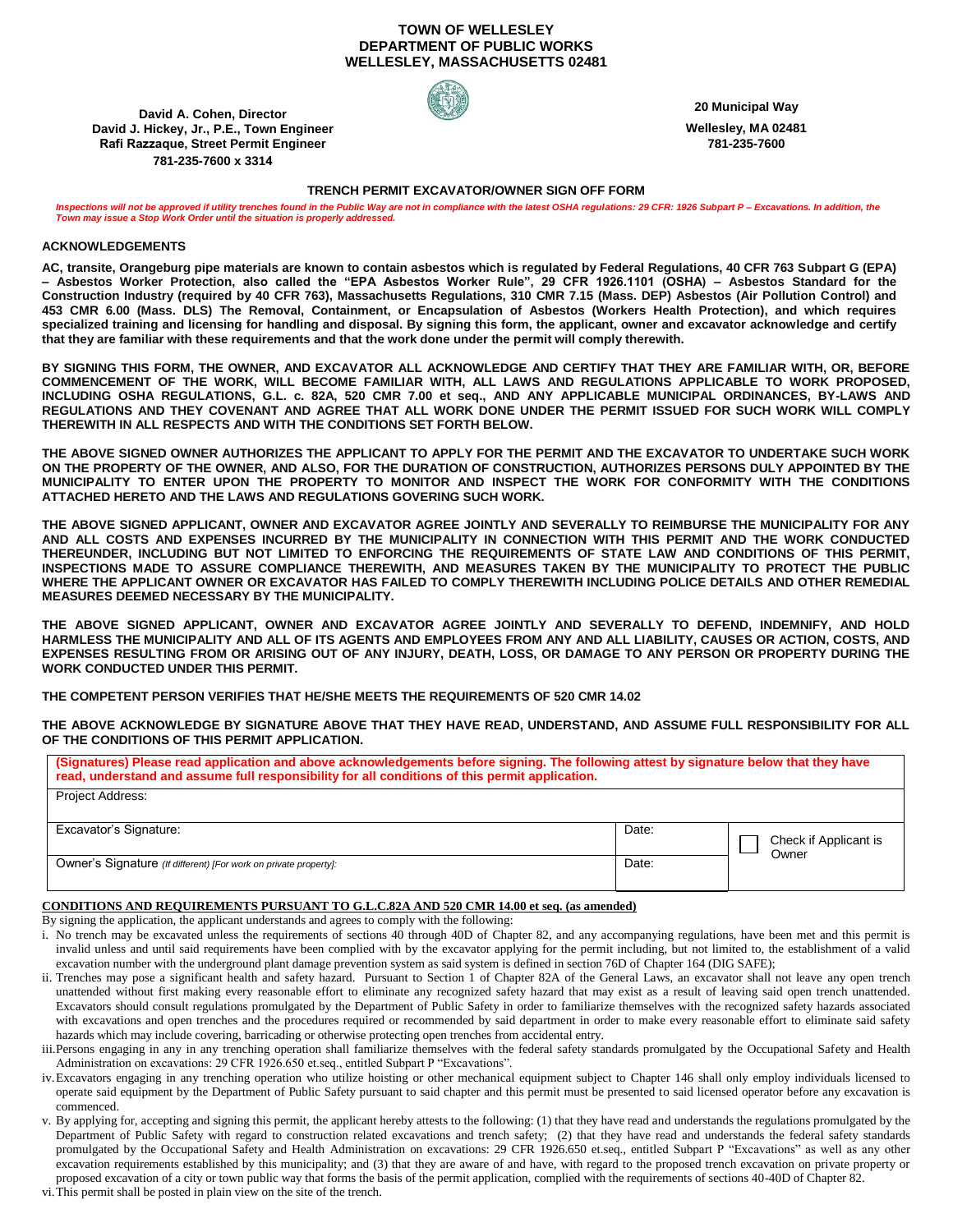# **TOWN OF WELLESLEY DEPARTMENT OF PUBLIC WORKS WELLESLEY, MASSACHUSETTS 02481**

**David A. Cohen, Director David J. Hickey, Jr., P.E., Town Engineer Rafi Razzaque, Street Permit Engineer 781-235-7600 x 3314**



**20 Municipal Way**

**Wellesley, MA 02481 781-235-7600**

## **TRENCH PERMIT EXCAVATOR/OWNER SIGN OFF FORM**

*Inspections will not be approved if utility trenches found in the Public Way are not in compliance with the latest OSHA regulations: 29 CFR: 1926 Subpart P – Excavations. In addition, the Town may issue a Stop Work Order until the situation is properly addressed.*

# **ACKNOWLEDGEMENTS**

**AC, transite, Orangeburg pipe materials are known to contain asbestos which is regulated by Federal Regulations, 40 CFR 763 Subpart G (EPA) – Asbestos Worker Protection, also called the "EPA Asbestos Worker Rule", 29 CFR 1926.1101 (OSHA) – Asbestos Standard for the Construction Industry (required by 40 CFR 763), Massachusetts Regulations, 310 CMR 7.15 (Mass. DEP) Asbestos (Air Pollution Control) and 453 CMR 6.00 (Mass. DLS) The Removal, Containment, or Encapsulation of Asbestos (Workers Health Protection), and which requires specialized training and licensing for handling and disposal. By signing this form, the applicant, owner and excavator acknowledge and certify that they are familiar with these requirements and that the work done under the permit will comply therewith.**

**BY SIGNING THIS FORM, THE OWNER, AND EXCAVATOR ALL ACKNOWLEDGE AND CERTIFY THAT THEY ARE FAMILIAR WITH, OR, BEFORE COMMENCEMENT OF THE WORK, WILL BECOME FAMILIAR WITH, ALL LAWS AND REGULATIONS APPLICABLE TO WORK PROPOSED, INCLUDING OSHA REGULATIONS, G.L. c. 82A, 520 CMR 7.00 et seq., AND ANY APPLICABLE MUNICIPAL ORDINANCES, BY-LAWS AND REGULATIONS AND THEY COVENANT AND AGREE THAT ALL WORK DONE UNDER THE PERMIT ISSUED FOR SUCH WORK WILL COMPLY THEREWITH IN ALL RESPECTS AND WITH THE CONDITIONS SET FORTH BELOW.**

**THE ABOVE SIGNED OWNER AUTHORIZES THE APPLICANT TO APPLY FOR THE PERMIT AND THE EXCAVATOR TO UNDERTAKE SUCH WORK ON THE PROPERTY OF THE OWNER, AND ALSO, FOR THE DURATION OF CONSTRUCTION, AUTHORIZES PERSONS DULY APPOINTED BY THE MUNICIPALITY TO ENTER UPON THE PROPERTY TO MONITOR AND INSPECT THE WORK FOR CONFORMITY WITH THE CONDITIONS ATTACHED HERETO AND THE LAWS AND REGULATIONS GOVERING SUCH WORK.** 

**THE ABOVE SIGNED APPLICANT, OWNER AND EXCAVATOR AGREE JOINTLY AND SEVERALLY TO REIMBURSE THE MUNICIPALITY FOR ANY AND ALL COSTS AND EXPENSES INCURRED BY THE MUNICIPALITY IN CONNECTION WITH THIS PERMIT AND THE WORK CONDUCTED THEREUNDER, INCLUDING BUT NOT LIMITED TO ENFORCING THE REQUIREMENTS OF STATE LAW AND CONDITIONS OF THIS PERMIT, INSPECTIONS MADE TO ASSURE COMPLIANCE THEREWITH, AND MEASURES TAKEN BY THE MUNICIPALITY TO PROTECT THE PUBLIC WHERE THE APPLICANT OWNER OR EXCAVATOR HAS FAILED TO COMPLY THEREWITH INCLUDING POLICE DETAILS AND OTHER REMEDIAL MEASURES DEEMED NECESSARY BY THE MUNICIPALITY.**

**THE ABOVE SIGNED APPLICANT, OWNER AND EXCAVATOR AGREE JOINTLY AND SEVERALLY TO DEFEND, INDEMNIFY, AND HOLD HARMLESS THE MUNICIPALITY AND ALL OF ITS AGENTS AND EMPLOYEES FROM ANY AND ALL LIABILITY, CAUSES OR ACTION, COSTS, AND EXPENSES RESULTING FROM OR ARISING OUT OF ANY INJURY, DEATH, LOSS, OR DAMAGE TO ANY PERSON OR PROPERTY DURING THE WORK CONDUCTED UNDER THIS PERMIT.**

**THE COMPETENT PERSON VERIFIES THAT HE/SHE MEETS THE REQUIREMENTS OF 520 CMR 14.02**

**THE ABOVE ACKNOWLEDGE BY SIGNATURE ABOVE THAT THEY HAVE READ, UNDERSTAND, AND ASSUME FULL RESPONSIBILITY FOR ALL OF THE CONDITIONS OF THIS PERMIT APPLICATION.**

| (Signatures) Please read application and above acknowledgements before signing. The following attest by signature below that they have<br>read, understand and assume full responsibility for all conditions of this permit application. |       |                                |
|------------------------------------------------------------------------------------------------------------------------------------------------------------------------------------------------------------------------------------------|-------|--------------------------------|
| <b>Project Address:</b>                                                                                                                                                                                                                  |       |                                |
| Excavator's Signature:                                                                                                                                                                                                                   | Date: | Check if Applicant is<br>Owner |
| Owner's Signature (If different) [For work on private property]:                                                                                                                                                                         | Date: |                                |

## **CONDITIONS AND REQUIREMENTS PURSUANT TO G.L.C.82A AND 520 CMR 14.00 et seq. (as amended)**

By signing the application, the applicant understands and agrees to comply with the following:

- i. No trench may be excavated unless the requirements of sections 40 through 40D of Chapter 82, and any accompanying regulations, have been met and this permit is invalid unless and until said requirements have been complied with by the excavator applying for the permit including, but not limited to, the establishment of a valid excavation number with the underground plant damage prevention system as said system is defined in section 76D of Chapter 164 (DIG SAFE);
- ii. Trenches may pose a significant health and safety hazard. Pursuant to Section 1 of Chapter 82A of the General Laws, an excavator shall not leave any open trench unattended without first making every reasonable effort to eliminate any recognized safety hazard that may exist as a result of leaving said open trench unattended. Excavators should consult regulations promulgated by the Department of Public Safety in order to familiarize themselves with the recognized safety hazards associated with excavations and open trenches and the procedures required or recommended by said department in order to make every reasonable effort to eliminate said safety hazards which may include covering, barricading or otherwise protecting open trenches from accidental entry.
- iii.Persons engaging in any in any trenching operation shall familiarize themselves with the federal safety standards promulgated by the Occupational Safety and Health Administration on excavations: 29 CFR 1926.650 et.seq., entitled Subpart P "Excavations".
- iv.Excavators engaging in any trenching operation who utilize hoisting or other mechanical equipment subject to Chapter 146 shall only employ individuals licensed to operate said equipment by the Department of Public Safety pursuant to said chapter and this permit must be presented to said licensed operator before any excavation is commenced.
- v. By applying for, accepting and signing this permit, the applicant hereby attests to the following: (1) that they have read and understands the regulations promulgated by the Department of Public Safety with regard to construction related excavations and trench safety; (2) that they have read and understands the federal safety standards promulgated by the Occupational Safety and Health Administration on excavations: 29 CFR 1926.650 et.seq., entitled Subpart P "Excavations" as well as any other excavation requirements established by this municipality; and (3) that they are aware of and have, with regard to the proposed trench excavation on private property or proposed excavation of a city or town public way that forms the basis of the permit application, complied with the requirements of sections 40-40D of Chapter 82.

vi.This permit shall be posted in plain view on the site of the trench.